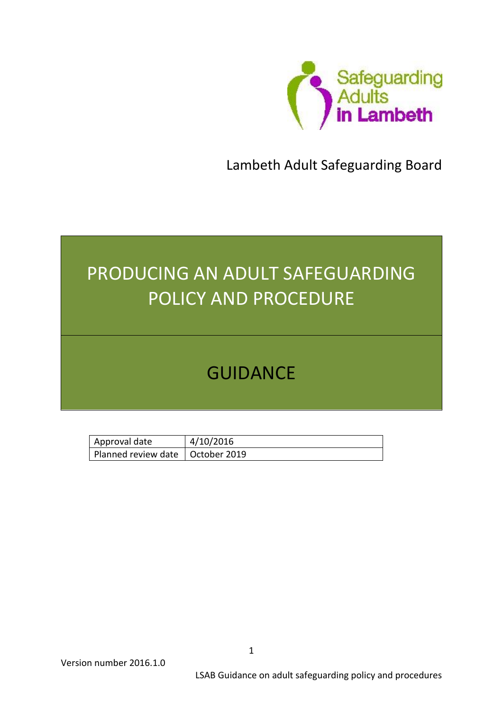

Lambeth Adult Safeguarding Board

# PRODUCING AN ADULT SAFEGUARDING POLICY AND PROCEDURE

# GUIDANCE

| Approval date                      | 4/10/2016 |
|------------------------------------|-----------|
| Planned review date   October 2019 |           |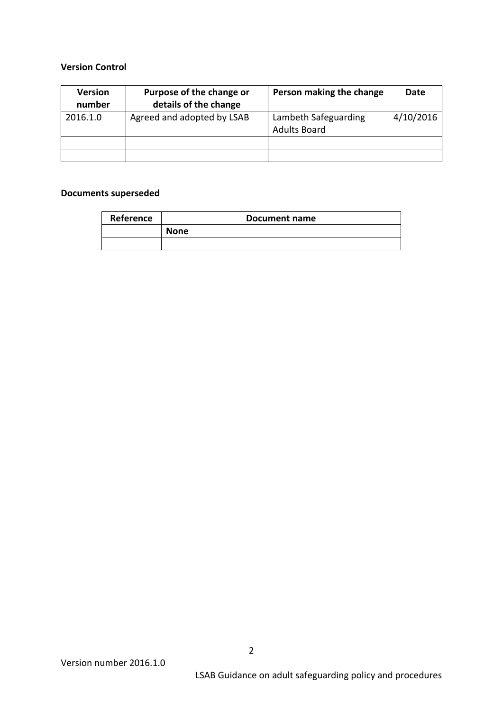#### **Version Control**

| <b>Version</b><br>number | Purpose of the change or<br>details of the change | Person making the change                    | Date      |
|--------------------------|---------------------------------------------------|---------------------------------------------|-----------|
| 2016.1.0                 | Agreed and adopted by LSAB                        | Lambeth Safeguarding<br><b>Adults Board</b> | 4/10/2016 |
|                          |                                                   |                                             |           |
|                          |                                                   |                                             |           |

#### **Documents superseded**

| Reference | Document name |
|-----------|---------------|
|           | <b>None</b>   |
|           |               |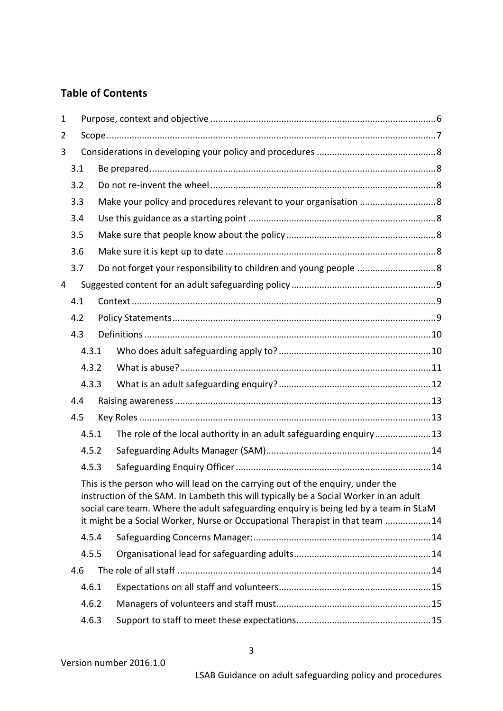# **Table of Contents**

| $\mathbf{1}$ |       |       |                                                                 |                                                                                                                                                                                                                                                                                                                                                  |  |  |
|--------------|-------|-------|-----------------------------------------------------------------|--------------------------------------------------------------------------------------------------------------------------------------------------------------------------------------------------------------------------------------------------------------------------------------------------------------------------------------------------|--|--|
| 2            |       |       |                                                                 |                                                                                                                                                                                                                                                                                                                                                  |  |  |
| 3            |       |       |                                                                 |                                                                                                                                                                                                                                                                                                                                                  |  |  |
|              | 3.1   |       |                                                                 |                                                                                                                                                                                                                                                                                                                                                  |  |  |
| 3.2<br>3.3   |       |       |                                                                 |                                                                                                                                                                                                                                                                                                                                                  |  |  |
|              |       |       | Make your policy and procedures relevant to your organisation 8 |                                                                                                                                                                                                                                                                                                                                                  |  |  |
|              | 3.4   |       |                                                                 |                                                                                                                                                                                                                                                                                                                                                  |  |  |
|              | 3.5   |       |                                                                 |                                                                                                                                                                                                                                                                                                                                                  |  |  |
|              | 3.6   |       |                                                                 |                                                                                                                                                                                                                                                                                                                                                  |  |  |
|              | 3.7   |       |                                                                 |                                                                                                                                                                                                                                                                                                                                                  |  |  |
| 4            |       |       |                                                                 |                                                                                                                                                                                                                                                                                                                                                  |  |  |
|              | 4.1   |       |                                                                 |                                                                                                                                                                                                                                                                                                                                                  |  |  |
|              | 4.2   |       |                                                                 |                                                                                                                                                                                                                                                                                                                                                  |  |  |
|              | 4.3   |       |                                                                 |                                                                                                                                                                                                                                                                                                                                                  |  |  |
|              |       | 4.3.1 |                                                                 |                                                                                                                                                                                                                                                                                                                                                  |  |  |
|              |       | 4.3.2 |                                                                 |                                                                                                                                                                                                                                                                                                                                                  |  |  |
|              | 4.3.3 |       |                                                                 |                                                                                                                                                                                                                                                                                                                                                  |  |  |
|              | 4.4   |       |                                                                 |                                                                                                                                                                                                                                                                                                                                                  |  |  |
|              | 4.5   |       |                                                                 |                                                                                                                                                                                                                                                                                                                                                  |  |  |
|              |       | 4.5.1 |                                                                 | The role of the local authority in an adult safeguarding enquiry13                                                                                                                                                                                                                                                                               |  |  |
|              |       | 4.5.2 |                                                                 |                                                                                                                                                                                                                                                                                                                                                  |  |  |
|              |       | 4.5.3 |                                                                 |                                                                                                                                                                                                                                                                                                                                                  |  |  |
|              |       |       |                                                                 | This is the person who will lead on the carrying out of the enquiry, under the<br>instruction of the SAM. In Lambeth this will typically be a Social Worker in an adult<br>social care team. Where the adult safeguarding enquiry is being led by a team in SLaM<br>it might be a Social Worker, Nurse or Occupational Therapist in that team 14 |  |  |
|              |       | 4.5.4 |                                                                 |                                                                                                                                                                                                                                                                                                                                                  |  |  |
|              |       | 4.5.5 |                                                                 |                                                                                                                                                                                                                                                                                                                                                  |  |  |
|              | 4.6   |       |                                                                 |                                                                                                                                                                                                                                                                                                                                                  |  |  |
|              |       | 4.6.1 |                                                                 |                                                                                                                                                                                                                                                                                                                                                  |  |  |
|              |       | 4.6.2 |                                                                 |                                                                                                                                                                                                                                                                                                                                                  |  |  |
| 4.6.3        |       |       |                                                                 |                                                                                                                                                                                                                                                                                                                                                  |  |  |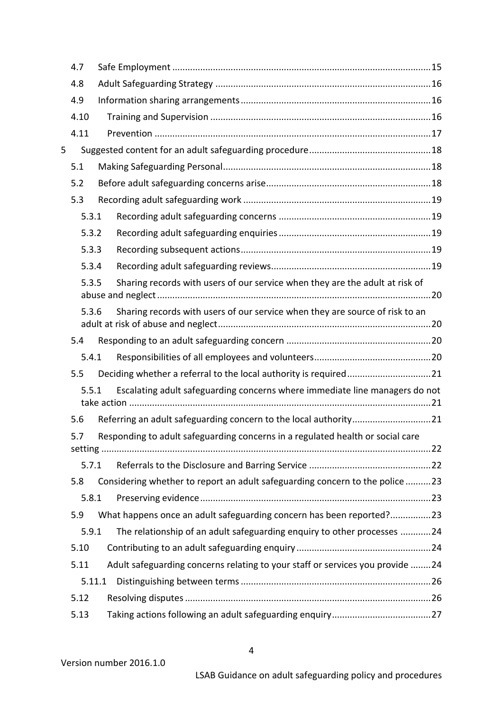|   | 4.7    |                                                                                |  |
|---|--------|--------------------------------------------------------------------------------|--|
|   | 4.8    |                                                                                |  |
|   | 4.9    |                                                                                |  |
|   | 4.10   |                                                                                |  |
|   | 4.11   |                                                                                |  |
| 5 |        |                                                                                |  |
|   | 5.1    |                                                                                |  |
|   | 5.2    |                                                                                |  |
|   | 5.3    |                                                                                |  |
|   | 5.3.1  |                                                                                |  |
|   | 5.3.2  |                                                                                |  |
|   | 5.3.3  |                                                                                |  |
|   | 5.3.4  |                                                                                |  |
|   | 5.3.5  | Sharing records with users of our service when they are the adult at risk of   |  |
|   | 5.3.6  | Sharing records with users of our service when they are source of risk to an   |  |
|   | 5.4    |                                                                                |  |
|   | 5.4.1  |                                                                                |  |
|   | 5.5    | Deciding whether a referral to the local authority is required21               |  |
|   | 5.5.1  | Escalating adult safeguarding concerns where immediate line managers do not    |  |
|   | 5.6    |                                                                                |  |
|   | 57     | Responding to adult safeguarding concerns in a regulated health or social care |  |
|   | 5.7.1  |                                                                                |  |
|   | 5.8    | Considering whether to report an adult safeguarding concern to the police 23   |  |
|   | 5.8.1  |                                                                                |  |
|   | 5.9    | What happens once an adult safeguarding concern has been reported?23           |  |
|   | 5.9.1  | The relationship of an adult safeguarding enquiry to other processes 24        |  |
|   | 5.10   |                                                                                |  |
|   | 5.11   | Adult safeguarding concerns relating to your staff or services you provide 24  |  |
|   | 5.11.1 |                                                                                |  |
|   | 5.12   |                                                                                |  |
|   | 5.13   |                                                                                |  |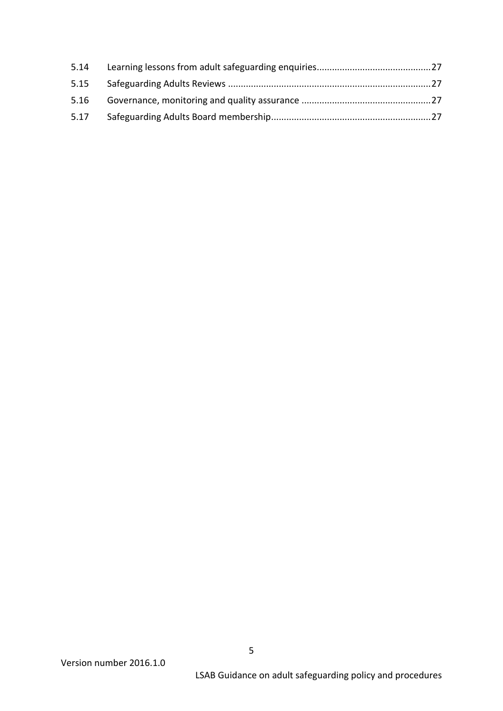| 5.14 |  |
|------|--|
| 5.15 |  |
| 5.16 |  |
| 5.17 |  |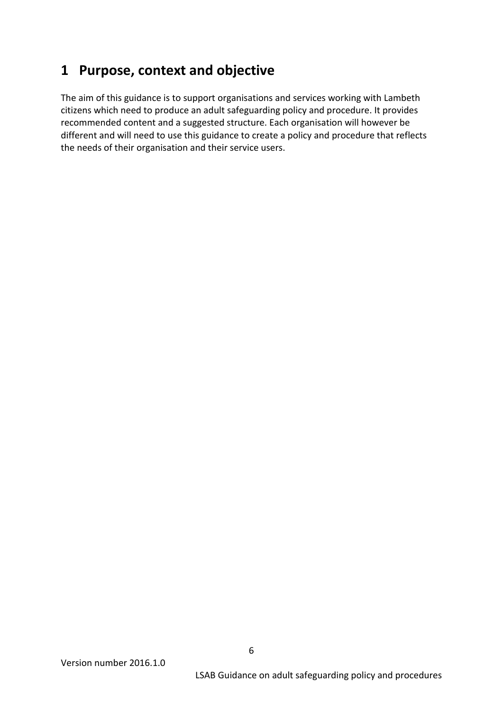# <span id="page-5-0"></span>**1 Purpose, context and objective**

The aim of this guidance is to support organisations and services working with Lambeth citizens which need to produce an adult safeguarding policy and procedure. It provides recommended content and a suggested structure. Each organisation will however be different and will need to use this guidance to create a policy and procedure that reflects the needs of their organisation and their service users.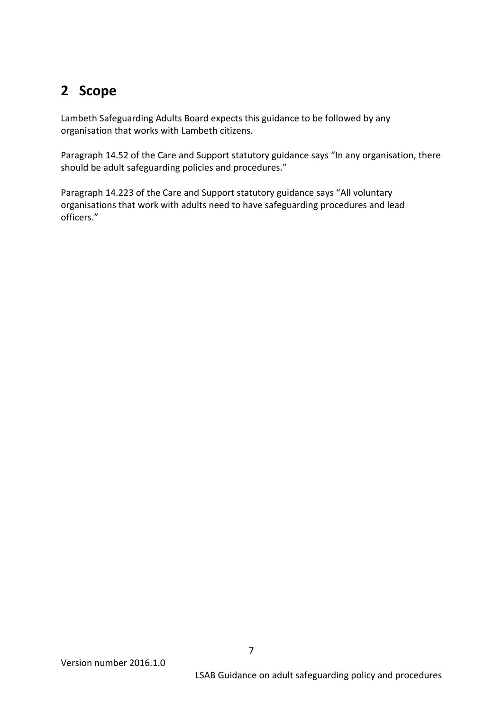# <span id="page-6-0"></span>**2 Scope**

Lambeth Safeguarding Adults Board expects this guidance to be followed by any organisation that works with Lambeth citizens.

Paragraph 14.52 of the Care and Support statutory guidance says "In any organisation, there should be adult safeguarding policies and procedures."

Paragraph 14.223 of the Care and Support statutory guidance says "All voluntary organisations that work with adults need to have safeguarding procedures and lead officers."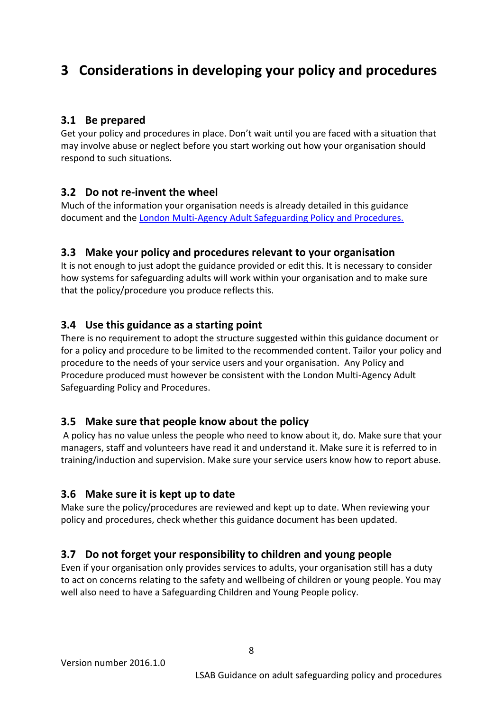# <span id="page-7-0"></span>**3 Considerations in developing your policy and procedures**

# <span id="page-7-1"></span>**3.1 Be prepared**

Get your policy and procedures in place. Don't wait until you are faced with a situation that may involve abuse or neglect before you start working out how your organisation should respond to such situations.

#### <span id="page-7-2"></span>**3.2 Do not re-invent the wheel**

Much of the information your organisation needs is already detailed in this guidance document and th[e London Multi-Agency Adult Safeguarding Policy and Procedures.](http://londonadass.org.uk/safeguarding/review-of-the-pan-london-policy-and-procedures/)

#### <span id="page-7-3"></span>**3.3 Make your policy and procedures relevant to your organisation**

It is not enough to just adopt the guidance provided or edit this. It is necessary to consider how systems for safeguarding adults will work within your organisation and to make sure that the policy/procedure you produce reflects this.

## <span id="page-7-4"></span>**3.4 Use this guidance as a starting point**

There is no requirement to adopt the structure suggested within this guidance document or for a policy and procedure to be limited to the recommended content. Tailor your policy and procedure to the needs of your service users and your organisation. Any Policy and Procedure produced must however be consistent with the London Multi-Agency Adult Safeguarding Policy and Procedures.

## <span id="page-7-5"></span>**3.5 Make sure that people know about the policy**

A policy has no value unless the people who need to know about it, do. Make sure that your managers, staff and volunteers have read it and understand it. Make sure it is referred to in training/induction and supervision. Make sure your service users know how to report abuse.

## <span id="page-7-6"></span>**3.6 Make sure it is kept up to date**

Make sure the policy/procedures are reviewed and kept up to date. When reviewing your policy and procedures, check whether this guidance document has been updated.

## <span id="page-7-7"></span>**3.7 Do not forget your responsibility to children and young people**

Even if your organisation only provides services to adults, your organisation still has a duty to act on concerns relating to the safety and wellbeing of children or young people. You may well also need to have a Safeguarding Children and Young People policy.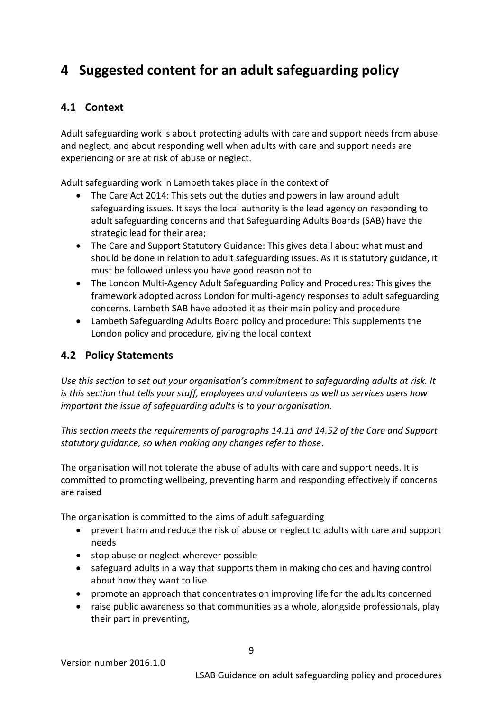# <span id="page-8-0"></span>**4 Suggested content for an adult safeguarding policy**

## <span id="page-8-1"></span>**4.1 Context**

Adult safeguarding work is about protecting adults with care and support needs from abuse and neglect, and about responding well when adults with care and support needs are experiencing or are at risk of abuse or neglect.

Adult safeguarding work in Lambeth takes place in the context of

- The Care Act 2014: This sets out the duties and powers in law around adult safeguarding issues. It says the local authority is the lead agency on responding to adult safeguarding concerns and that Safeguarding Adults Boards (SAB) have the strategic lead for their area;
- The Care and Support Statutory Guidance: This gives detail about what must and should be done in relation to adult safeguarding issues. As it is statutory guidance, it must be followed unless you have good reason not to
- The London Multi-Agency Adult Safeguarding Policy and Procedures: This gives the framework adopted across London for multi-agency responses to adult safeguarding concerns. Lambeth SAB have adopted it as their main policy and procedure
- Lambeth Safeguarding Adults Board policy and procedure: This supplements the London policy and procedure, giving the local context

# <span id="page-8-2"></span>**4.2 Policy Statements**

*Use this section to set out your organisation's commitment to safeguarding adults at risk. It is this section that tells your staff, employees and volunteers as well as services users how important the issue of safeguarding adults is to your organisation.*

*This section meets the requirements of paragraphs 14.11 and 14.52 of the Care and Support statutory guidance, so when making any changes refer to those*.

The organisation will not tolerate the abuse of adults with care and support needs. It is committed to promoting wellbeing, preventing harm and responding effectively if concerns are raised

The organisation is committed to the aims of adult safeguarding

- prevent harm and reduce the risk of abuse or neglect to adults with care and support needs
- stop abuse or neglect wherever possible
- safeguard adults in a way that supports them in making choices and having control about how they want to live
- promote an approach that concentrates on improving life for the adults concerned
- raise public awareness so that communities as a whole, alongside professionals, play their part in preventing,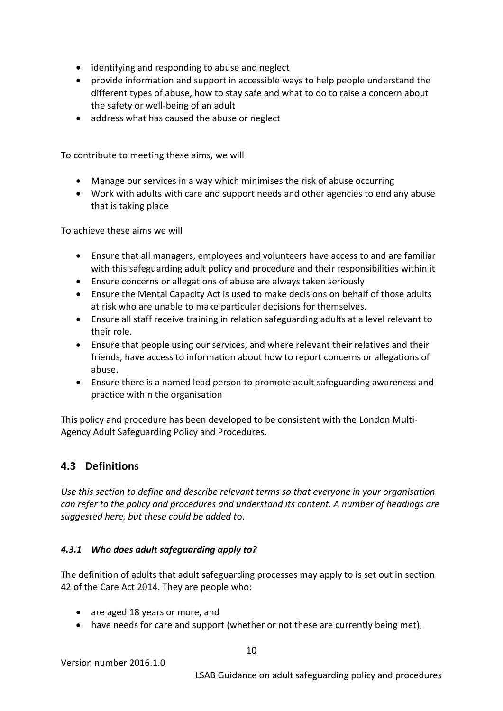- identifying and responding to abuse and neglect
- provide information and support in accessible ways to help people understand the different types of abuse, how to stay safe and what to do to raise a concern about the safety or well-being of an adult
- address what has caused the abuse or neglect

To contribute to meeting these aims, we will

- Manage our services in a way which minimises the risk of abuse occurring
- Work with adults with care and support needs and other agencies to end any abuse that is taking place

To achieve these aims we will

- Ensure that all managers, employees and volunteers have access to and are familiar with this safeguarding adult policy and procedure and their responsibilities within it
- Ensure concerns or allegations of abuse are always taken seriously
- Ensure the Mental Capacity Act is used to make decisions on behalf of those adults at risk who are unable to make particular decisions for themselves.
- Ensure all staff receive training in relation safeguarding adults at a level relevant to their role.
- Ensure that people using our services, and where relevant their relatives and their friends, have access to information about how to report concerns or allegations of abuse.
- Ensure there is a named lead person to promote adult safeguarding awareness and practice within the organisation

This policy and procedure has been developed to be consistent with the London Multi-Agency Adult Safeguarding Policy and Procedures.

#### <span id="page-9-0"></span>**4.3 Definitions**

*Use this section to define and describe relevant terms so that everyone in your organisation can refer to the policy and procedures and understand its content. A number of headings are suggested here, but these could be added t*o.

#### <span id="page-9-1"></span>*4.3.1 Who does adult safeguarding apply to?*

The definition of adults that adult safeguarding processes may apply to is set out in section 42 of the Care Act 2014. They are people who:

- are aged 18 years or more, and
- have needs for care and support (whether or not these are currently being met),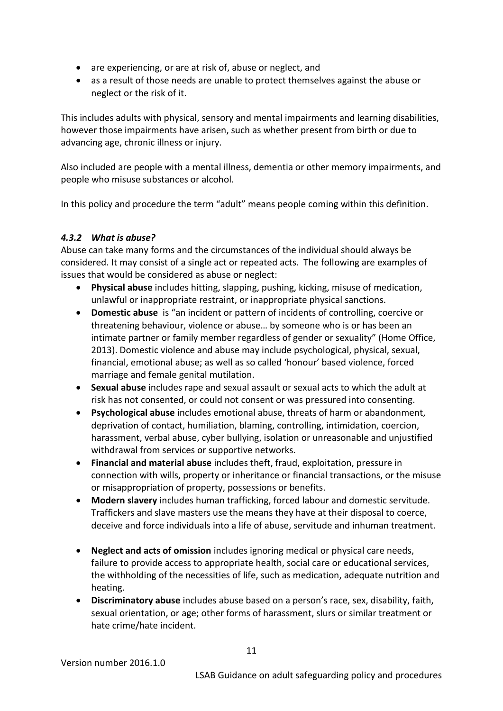- are experiencing, or are at risk of, abuse or neglect, and
- as a result of those needs are unable to protect themselves against the abuse or neglect or the risk of it.

This includes adults with physical, sensory and mental impairments and learning disabilities, however those impairments have arisen, such as whether present from birth or due to advancing age, chronic illness or injury.

Also included are people with a mental illness, dementia or other memory impairments, and people who misuse substances or alcohol.

In this policy and procedure the term "adult" means people coming within this definition.

#### <span id="page-10-0"></span>*4.3.2 What is abuse?*

Abuse can take many forms and the circumstances of the individual should always be considered. It may consist of a single act or repeated acts. The following are examples of issues that would be considered as abuse or neglect:

- **Physical abuse** includes hitting, slapping, pushing, kicking, misuse of medication, unlawful or inappropriate restraint, or inappropriate physical sanctions.
- **Domestic abuse** is "an incident or pattern of incidents of controlling, coercive or threatening behaviour, violence or abuse… by someone who is or has been an intimate partner or family member regardless of gender or sexuality" (Home Office, 2013). Domestic violence and abuse may include psychological, physical, sexual, financial, emotional abuse; as well as so called 'honour' based violence, forced marriage and female genital mutilation.
- **Sexual abuse** includes rape and sexual assault or sexual acts to which the adult at risk has not consented, or could not consent or was pressured into consenting.
- **Psychological abuse** includes emotional abuse, threats of harm or abandonment, deprivation of contact, humiliation, blaming, controlling, intimidation, coercion, harassment, verbal abuse, cyber bullying, isolation or unreasonable and unjustified withdrawal from services or supportive networks.
- **Financial and material abuse** includes theft, fraud, exploitation, pressure in connection with wills, property or inheritance or financial transactions, or the misuse or misappropriation of property, possessions or benefits.
- **Modern slavery** includes human trafficking, forced labour and domestic servitude. Traffickers and slave masters use the means they have at their disposal to coerce, deceive and force individuals into a life of abuse, servitude and inhuman treatment.
- **Neglect and acts of omission** includes ignoring medical or physical care needs, failure to provide access to appropriate health, social care or educational services, the withholding of the necessities of life, such as medication, adequate nutrition and heating.
- **Discriminatory abuse** includes abuse based on a person's race, sex, disability, faith, sexual orientation, or age; other forms of harassment, slurs or similar treatment or hate crime/hate incident.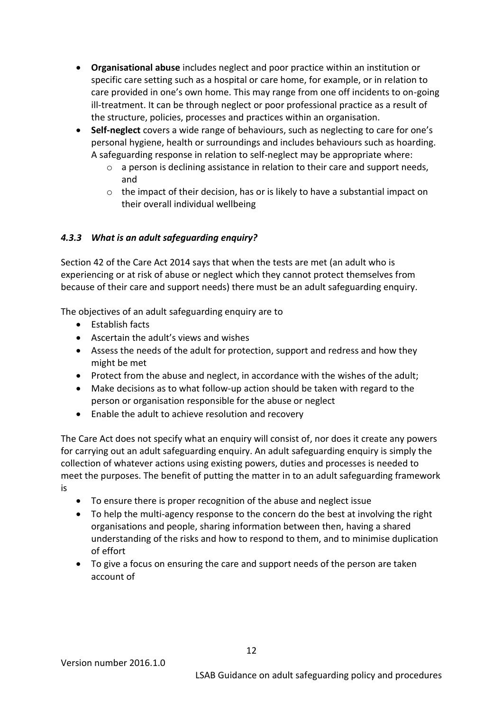- **Organisational abuse** includes neglect and poor practice within an institution or specific care setting such as a hospital or care home, for example, or in relation to care provided in one's own home. This may range from one off incidents to on-going ill-treatment. It can be through neglect or poor professional practice as a result of the structure, policies, processes and practices within an organisation.
- **Self-neglect** covers a wide range of behaviours, such as neglecting to care for one's personal hygiene, health or surroundings and includes behaviours such as hoarding. A safeguarding response in relation to self-neglect may be appropriate where:
	- $\circ$  a person is declining assistance in relation to their care and support needs, and
	- o the impact of their decision, has or is likely to have a substantial impact on their overall individual wellbeing

#### <span id="page-11-0"></span>*4.3.3 What is an adult safeguarding enquiry?*

Section 42 of the Care Act 2014 says that when the tests are met (an adult who is experiencing or at risk of abuse or neglect which they cannot protect themselves from because of their care and support needs) there must be an adult safeguarding enquiry.

The objectives of an adult safeguarding enquiry are to

- Establish facts
- Ascertain the adult's views and wishes
- Assess the needs of the adult for protection, support and redress and how they might be met
- Protect from the abuse and neglect, in accordance with the wishes of the adult;
- Make decisions as to what follow-up action should be taken with regard to the person or organisation responsible for the abuse or neglect
- Enable the adult to achieve resolution and recovery

The Care Act does not specify what an enquiry will consist of, nor does it create any powers for carrying out an adult safeguarding enquiry. An adult safeguarding enquiry is simply the collection of whatever actions using existing powers, duties and processes is needed to meet the purposes. The benefit of putting the matter in to an adult safeguarding framework is

- To ensure there is proper recognition of the abuse and neglect issue
- To help the multi-agency response to the concern do the best at involving the right organisations and people, sharing information between then, having a shared understanding of the risks and how to respond to them, and to minimise duplication of effort
- To give a focus on ensuring the care and support needs of the person are taken account of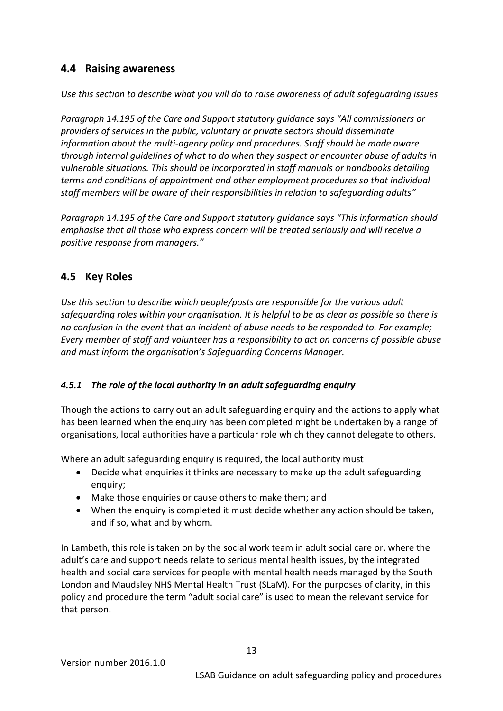## <span id="page-12-0"></span>**4.4 Raising awareness**

*Use this section to describe what you will do to raise awareness of adult safeguarding issues*

*Paragraph 14.195 of the Care and Support statutory guidance says "All commissioners or providers of services in the public, voluntary or private sectors should disseminate information about the multi-agency policy and procedures. Staff should be made aware through internal guidelines of what to do when they suspect or encounter abuse of adults in vulnerable situations. This should be incorporated in staff manuals or handbooks detailing terms and conditions of appointment and other employment procedures so that individual staff members will be aware of their responsibilities in relation to safeguarding adults"*

*Paragraph 14.195 of the Care and Support statutory guidance says "This information should emphasise that all those who express concern will be treated seriously and will receive a positive response from managers."*

#### <span id="page-12-1"></span>**4.5 Key Roles**

*Use this section to describe which people/posts are responsible for the various adult safeguarding roles within your organisation. It is helpful to be as clear as possible so there is no confusion in the event that an incident of abuse needs to be responded to. For example; Every member of staff and volunteer has a responsibility to act on concerns of possible abuse and must inform the organisation's Safeguarding Concerns Manager.*

#### <span id="page-12-2"></span>*4.5.1 The role of the local authority in an adult safeguarding enquiry*

Though the actions to carry out an adult safeguarding enquiry and the actions to apply what has been learned when the enquiry has been completed might be undertaken by a range of organisations, local authorities have a particular role which they cannot delegate to others.

Where an adult safeguarding enquiry is required, the local authority must

- Decide what enquiries it thinks are necessary to make up the adult safeguarding enquiry;
- Make those enquiries or cause others to make them; and
- When the enquiry is completed it must decide whether any action should be taken, and if so, what and by whom.

In Lambeth, this role is taken on by the social work team in adult social care or, where the adult's care and support needs relate to serious mental health issues, by the integrated health and social care services for people with mental health needs managed by the South London and Maudsley NHS Mental Health Trust (SLaM). For the purposes of clarity, in this policy and procedure the term "adult social care" is used to mean the relevant service for that person.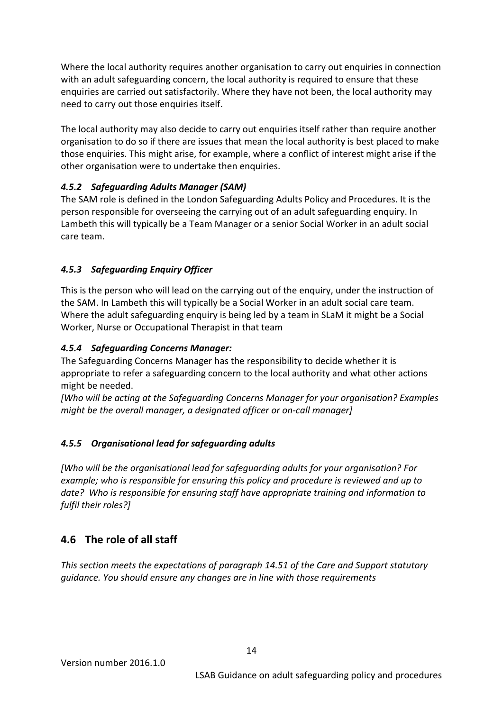Where the local authority requires another organisation to carry out enquiries in connection with an adult safeguarding concern, the local authority is required to ensure that these enquiries are carried out satisfactorily. Where they have not been, the local authority may need to carry out those enquiries itself.

The local authority may also decide to carry out enquiries itself rather than require another organisation to do so if there are issues that mean the local authority is best placed to make those enquiries. This might arise, for example, where a conflict of interest might arise if the other organisation were to undertake then enquiries.

#### <span id="page-13-0"></span>*4.5.2 Safeguarding Adults Manager (SAM)*

The SAM role is defined in the London Safeguarding Adults Policy and Procedures. It is the person responsible for overseeing the carrying out of an adult safeguarding enquiry. In Lambeth this will typically be a Team Manager or a senior Social Worker in an adult social care team.

#### <span id="page-13-1"></span>*4.5.3 Safeguarding Enquiry Officer*

<span id="page-13-2"></span>This is the person who will lead on the carrying out of the enquiry, under the instruction of the SAM. In Lambeth this will typically be a Social Worker in an adult social care team. Where the adult safeguarding enquiry is being led by a team in SLaM it might be a Social Worker, Nurse or Occupational Therapist in that team

#### <span id="page-13-3"></span>*4.5.4 Safeguarding Concerns Manager:*

The Safeguarding Concerns Manager has the responsibility to decide whether it is appropriate to refer a safeguarding concern to the local authority and what other actions might be needed.

*[Who will be acting at the Safeguarding Concerns Manager for your organisation? Examples might be the overall manager, a designated officer or on-call manager]* 

#### <span id="page-13-4"></span>*4.5.5 Organisational lead for safeguarding adults*

*[Who will be the organisational lead for safeguarding adults for your organisation? For example; who is responsible for ensuring this policy and procedure is reviewed and up to date? Who is responsible for ensuring staff have appropriate training and information to fulfil their roles?]*

# <span id="page-13-5"></span>**4.6 The role of all staff**

*This section meets the expectations of paragraph 14.51 of the Care and Support statutory guidance. You should ensure any changes are in line with those requirements*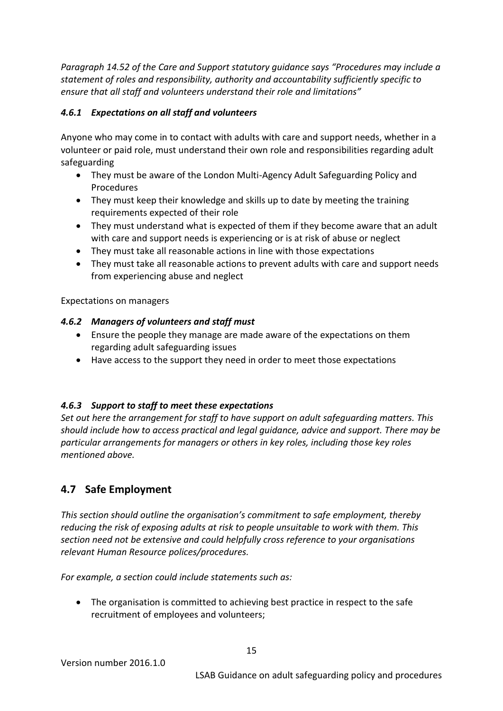*Paragraph 14.52 of the Care and Support statutory guidance says "Procedures may include a statement of roles and responsibility, authority and accountability sufficiently specific to ensure that all staff and volunteers understand their role and limitations"*

#### <span id="page-14-0"></span>*4.6.1 Expectations on all staff and volunteers*

Anyone who may come in to contact with adults with care and support needs, whether in a volunteer or paid role, must understand their own role and responsibilities regarding adult safeguarding

- They must be aware of the London Multi-Agency Adult Safeguarding Policy and Procedures
- They must keep their knowledge and skills up to date by meeting the training requirements expected of their role
- They must understand what is expected of them if they become aware that an adult with care and support needs is experiencing or is at risk of abuse or neglect
- They must take all reasonable actions in line with those expectations
- They must take all reasonable actions to prevent adults with care and support needs from experiencing abuse and neglect

Expectations on managers

#### <span id="page-14-1"></span>*4.6.2 Managers of volunteers and staff must*

- Ensure the people they manage are made aware of the expectations on them regarding adult safeguarding issues
- Have access to the support they need in order to meet those expectations

## <span id="page-14-2"></span>*4.6.3 Support to staff to meet these expectations*

*Set out here the arrangement for staff to have support on adult safeguarding matters. This should include how to access practical and legal guidance, advice and support. There may be particular arrangements for managers or others in key roles, including those key roles mentioned above.*

# <span id="page-14-3"></span>**4.7 Safe Employment**

*This section should outline the organisation's commitment to safe employment, thereby reducing the risk of exposing adults at risk to people unsuitable to work with them. This section need not be extensive and could helpfully cross reference to your organisations relevant Human Resource polices/procedures.*

*For example, a section could include statements such as:* 

 The organisation is committed to achieving best practice in respect to the safe recruitment of employees and volunteers;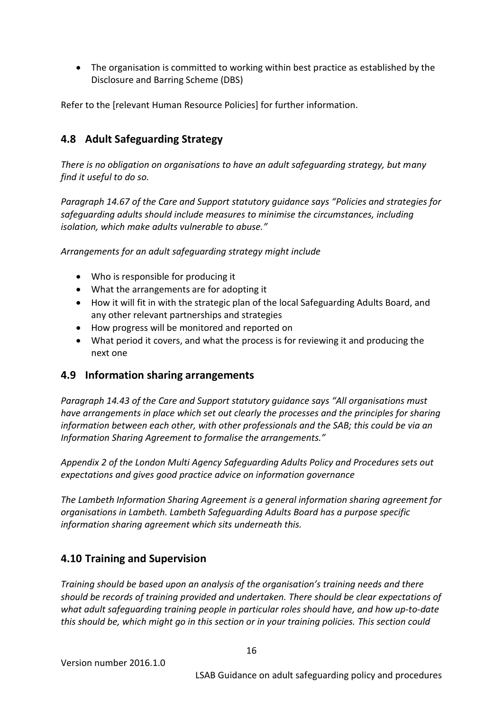The organisation is committed to working within best practice as established by the Disclosure and Barring Scheme (DBS)

Refer to the [relevant Human Resource Policies] for further information.

# <span id="page-15-0"></span>**4.8 Adult Safeguarding Strategy**

*There is no obligation on organisations to have an adult safeguarding strategy, but many find it useful to do so.*

*Paragraph 14.67 of the Care and Support statutory guidance says "Policies and strategies for safeguarding adults should include measures to minimise the circumstances, including isolation, which make adults vulnerable to abuse."*

*Arrangements for an adult safeguarding strategy might include*

- Who is responsible for producing it
- What the arrangements are for adopting it
- How it will fit in with the strategic plan of the local Safeguarding Adults Board, and any other relevant partnerships and strategies
- How progress will be monitored and reported on
- What period it covers, and what the process is for reviewing it and producing the next one

#### <span id="page-15-1"></span>**4.9 Information sharing arrangements**

*Paragraph 14.43 of the Care and Support statutory guidance says "All organisations must have arrangements in place which set out clearly the processes and the principles for sharing information between each other, with other professionals and the SAB; this could be via an Information Sharing Agreement to formalise the arrangements."*

*Appendix 2 of the London Multi Agency Safeguarding Adults Policy and Procedures sets out expectations and gives good practice advice on information governance*

*The Lambeth Information Sharing Agreement is a general information sharing agreement for organisations in Lambeth. Lambeth Safeguarding Adults Board has a purpose specific information sharing agreement which sits underneath this.* 

## <span id="page-15-2"></span>**4.10 Training and Supervision**

*Training should be based upon an analysis of the organisation's training needs and there should be records of training provided and undertaken. There should be clear expectations of what adult safeguarding training people in particular roles should have, and how up-to-date this should be, which might go in this section or in your training policies. This section could*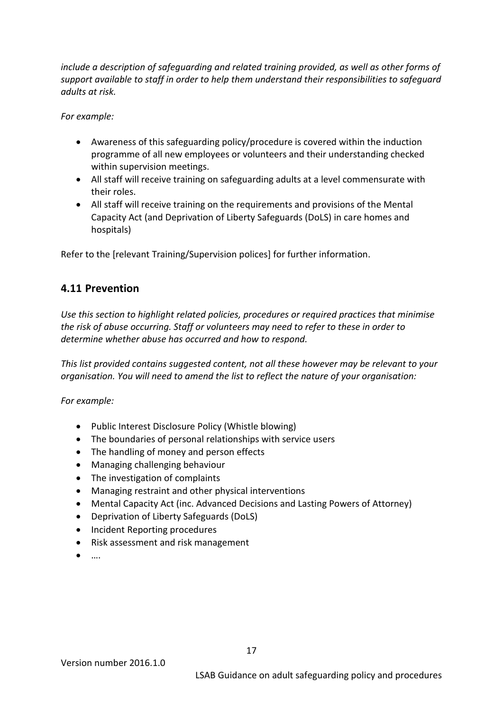*include a description of safeguarding and related training provided, as well as other forms of support available to staff in order to help them understand their responsibilities to safeguard adults at risk.*

*For example:*

- Awareness of this safeguarding policy/procedure is covered within the induction programme of all new employees or volunteers and their understanding checked within supervision meetings.
- All staff will receive training on safeguarding adults at a level commensurate with their roles.
- All staff will receive training on the requirements and provisions of the Mental Capacity Act (and Deprivation of Liberty Safeguards (DoLS) in care homes and hospitals)

Refer to the [relevant Training/Supervision polices] for further information.

## <span id="page-16-0"></span>**4.11 Prevention**

*Use this section to highlight related policies, procedures or required practices that minimise the risk of abuse occurring. Staff or volunteers may need to refer to these in order to determine whether abuse has occurred and how to respond.* 

*This list provided contains suggested content, not all these however may be relevant to your organisation. You will need to amend the list to reflect the nature of your organisation:* 

*For example:*

- Public Interest Disclosure Policy (Whistle blowing)
- The boundaries of personal relationships with service users
- The handling of money and person effects
- Managing challenging behaviour
- The investigation of complaints
- Managing restraint and other physical interventions
- Mental Capacity Act (inc. Advanced Decisions and Lasting Powers of Attorney)
- Deprivation of Liberty Safeguards (DoLS)
- Incident Reporting procedures
- Risk assessment and risk management
- ….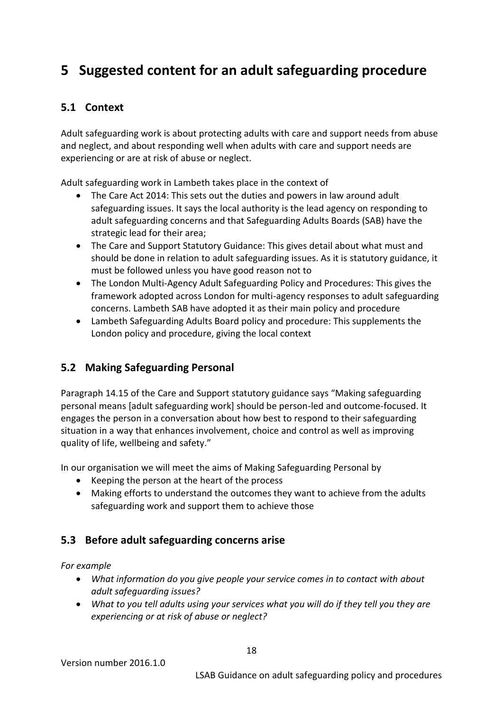# <span id="page-17-0"></span>**5 Suggested content for an adult safeguarding procedure**

# **5.1 Context**

Adult safeguarding work is about protecting adults with care and support needs from abuse and neglect, and about responding well when adults with care and support needs are experiencing or are at risk of abuse or neglect.

Adult safeguarding work in Lambeth takes place in the context of

- The Care Act 2014: This sets out the duties and powers in law around adult safeguarding issues. It says the local authority is the lead agency on responding to adult safeguarding concerns and that Safeguarding Adults Boards (SAB) have the strategic lead for their area;
- The Care and Support Statutory Guidance: This gives detail about what must and should be done in relation to adult safeguarding issues. As it is statutory guidance, it must be followed unless you have good reason not to
- The London Multi-Agency Adult Safeguarding Policy and Procedures: This gives the framework adopted across London for multi-agency responses to adult safeguarding concerns. Lambeth SAB have adopted it as their main policy and procedure
- Lambeth Safeguarding Adults Board policy and procedure: This supplements the London policy and procedure, giving the local context

# <span id="page-17-1"></span>**5.2 Making Safeguarding Personal**

Paragraph 14.15 of the Care and Support statutory guidance says "Making safeguarding personal means [adult safeguarding work] should be person-led and outcome-focused. It engages the person in a conversation about how best to respond to their safeguarding situation in a way that enhances involvement, choice and control as well as improving quality of life, wellbeing and safety."

In our organisation we will meet the aims of Making Safeguarding Personal by

- Keeping the person at the heart of the process
- Making efforts to understand the outcomes they want to achieve from the adults safeguarding work and support them to achieve those

# <span id="page-17-2"></span>**5.3 Before adult safeguarding concerns arise**

*For example*

- *What information do you give people your service comes in to contact with about adult safeguarding issues?*
- *What to you tell adults using your services what you will do if they tell you they are experiencing or at risk of abuse or neglect?*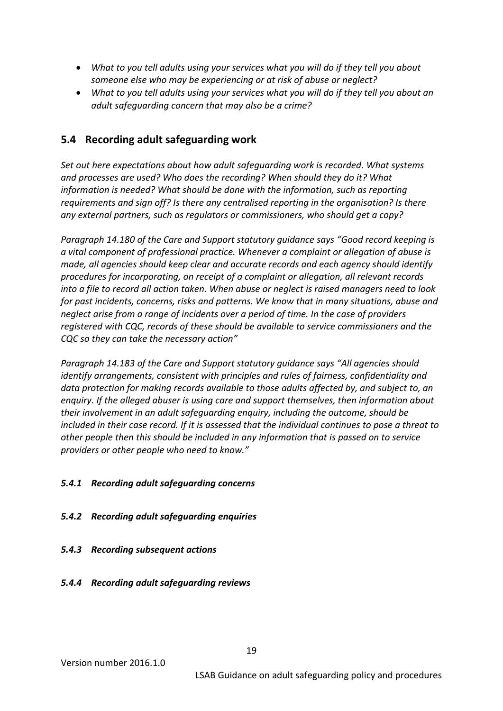- *What to you tell adults using your services what you will do if they tell you about someone else who may be experiencing or at risk of abuse or neglect?*
- *What to you tell adults using your services what you will do if they tell you about an adult safeguarding concern that may also be a crime?*

## <span id="page-18-0"></span>**5.4 Recording adult safeguarding work**

*Set out here expectations about how adult safeguarding work is recorded. What systems and processes are used? Who does the recording? When should they do it? What information is needed? What should be done with the information, such as reporting requirements and sign off? Is there any centralised reporting in the organisation? Is there any external partners, such as regulators or commissioners, who should get a copy?*

*Paragraph 14.180 of the Care and Support statutory guidance says "Good record keeping is a vital component of professional practice. Whenever a complaint or allegation of abuse is made, all agencies should keep clear and accurate records and each agency should identify procedures for incorporating, on receipt of a complaint or allegation, all relevant records into a file to record all action taken. When abuse or neglect is raised managers need to look for past incidents, concerns, risks and patterns. We know that in many situations, abuse and neglect arise from a range of incidents over a period of time. In the case of providers registered with CQC, records of these should be available to service commissioners and the CQC so they can take the necessary action"*

*Paragraph 14.183 of the Care and Support statutory guidance says "All agencies should identify arrangements, consistent with principles and rules of fairness, confidentiality and data protection for making records available to those adults affected by, and subject to, an enquiry. If the alleged abuser is using care and support themselves, then information about their involvement in an adult safeguarding enquiry, including the outcome, should be included in their case record. If it is assessed that the individual continues to pose a threat to other people then this should be included in any information that is passed on to service providers or other people who need to know."*

#### <span id="page-18-1"></span>*5.4.1 Recording adult safeguarding concerns*

- <span id="page-18-2"></span>*5.4.2 Recording adult safeguarding enquiries*
- <span id="page-18-3"></span>*5.4.3 Recording subsequent actions*
- <span id="page-18-4"></span>*5.4.4 Recording adult safeguarding reviews*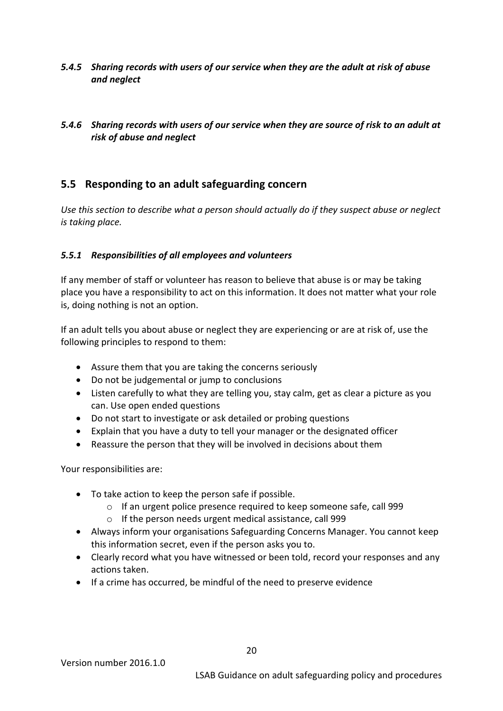#### <span id="page-19-0"></span>*5.4.5 Sharing records with users of our service when they are the adult at risk of abuse and neglect*

#### <span id="page-19-1"></span>*5.4.6 Sharing records with users of our service when they are source of risk to an adult at risk of abuse and neglect*

## <span id="page-19-2"></span>**5.5 Responding to an adult safeguarding concern**

*Use this section to describe what a person should actually do if they suspect abuse or neglect is taking place.* 

#### <span id="page-19-3"></span>*5.5.1 Responsibilities of all employees and volunteers*

If any member of staff or volunteer has reason to believe that abuse is or may be taking place you have a responsibility to act on this information. It does not matter what your role is, doing nothing is not an option.

If an adult tells you about abuse or neglect they are experiencing or are at risk of, use the following principles to respond to them:

- Assure them that you are taking the concerns seriously
- Do not be judgemental or jump to conclusions
- Listen carefully to what they are telling you, stay calm, get as clear a picture as you can. Use open ended questions
- Do not start to investigate or ask detailed or probing questions
- Explain that you have a duty to tell your manager or the designated officer
- Reassure the person that they will be involved in decisions about them

Your responsibilities are:

- To take action to keep the person safe if possible.
	- $\circ$  If an urgent police presence required to keep someone safe, call 999
	- o If the person needs urgent medical assistance, call 999
- Always inform your organisations Safeguarding Concerns Manager. You cannot keep this information secret, even if the person asks you to.
- Clearly record what you have witnessed or been told, record your responses and any actions taken.
- If a crime has occurred, be mindful of the need to preserve evidence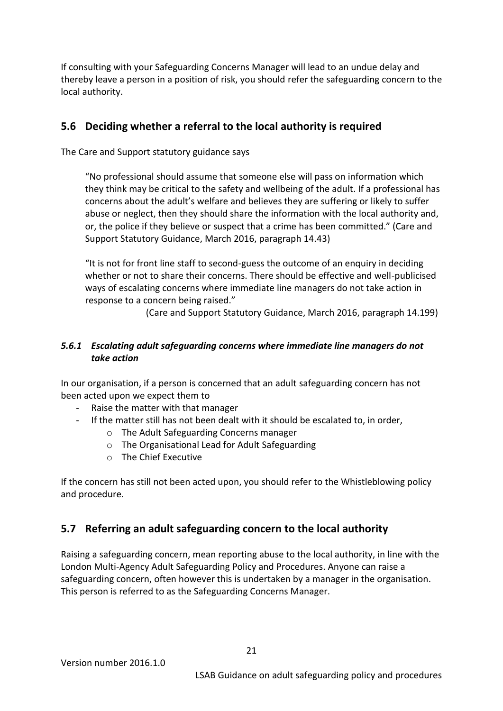If consulting with your Safeguarding Concerns Manager will lead to an undue delay and thereby leave a person in a position of risk, you should refer the safeguarding concern to the local authority.

## <span id="page-20-0"></span>**5.6 Deciding whether a referral to the local authority is required**

The Care and Support statutory guidance says

"No professional should assume that someone else will pass on information which they think may be critical to the safety and wellbeing of the adult. If a professional has concerns about the adult's welfare and believes they are suffering or likely to suffer abuse or neglect, then they should share the information with the local authority and, or, the police if they believe or suspect that a crime has been committed." (Care and Support Statutory Guidance, March 2016, paragraph 14.43)

"It is not for front line staff to second-guess the outcome of an enquiry in deciding whether or not to share their concerns. There should be effective and well-publicised ways of escalating concerns where immediate line managers do not take action in response to a concern being raised."

(Care and Support Statutory Guidance, March 2016, paragraph 14.199)

#### <span id="page-20-1"></span>*5.6.1 Escalating adult safeguarding concerns where immediate line managers do not take action*

In our organisation, if a person is concerned that an adult safeguarding concern has not been acted upon we expect them to

- Raise the matter with that manager
- If the matter still has not been dealt with it should be escalated to, in order,
	- o The Adult Safeguarding Concerns manager
	- o The Organisational Lead for Adult Safeguarding
	- o The Chief Executive

If the concern has still not been acted upon, you should refer to the Whistleblowing policy and procedure.

## <span id="page-20-2"></span>**5.7 Referring an adult safeguarding concern to the local authority**

Raising a safeguarding concern, mean reporting abuse to the local authority, in line with the London Multi-Agency Adult Safeguarding Policy and Procedures. Anyone can raise a safeguarding concern, often however this is undertaken by a manager in the organisation. This person is referred to as the Safeguarding Concerns Manager.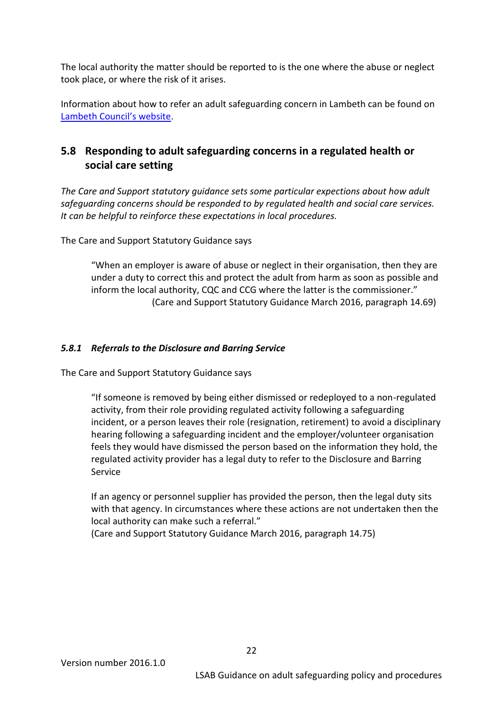The local authority the matter should be reported to is the one where the abuse or neglect took place, or where the risk of it arises.

Information about how to refer an adult safeguarding concern in Lambeth can be found on [Lambeth Council's website](https://www.lambeth.gov.uk/social-support-and-health/abuse-and-violence/safeguarding-and-adult-abuse-guide).

# <span id="page-21-0"></span>**5.8 Responding to adult safeguarding concerns in a regulated health or social care setting**

*The Care and Support statutory guidance sets some particular expections about how adult safeguarding concerns should be responded to by regulated health and social care services. It can be helpful to reinforce these expectations in local procedures.*

The Care and Support Statutory Guidance says

"When an employer is aware of abuse or neglect in their organisation, then they are under a duty to correct this and protect the adult from harm as soon as possible and inform the local authority, CQC and CCG where the latter is the commissioner." (Care and Support Statutory Guidance March 2016, paragraph 14.69)

#### <span id="page-21-1"></span>*5.8.1 Referrals to the Disclosure and Barring Service*

The Care and Support Statutory Guidance says

"If someone is removed by being either dismissed or redeployed to a non-regulated activity, from their role providing regulated activity following a safeguarding incident, or a person leaves their role (resignation, retirement) to avoid a disciplinary hearing following a safeguarding incident and the employer/volunteer organisation feels they would have dismissed the person based on the information they hold, the regulated activity provider has a legal duty to refer to the Disclosure and Barring Service

If an agency or personnel supplier has provided the person, then the legal duty sits with that agency. In circumstances where these actions are not undertaken then the local authority can make such a referral."

(Care and Support Statutory Guidance March 2016, paragraph 14.75)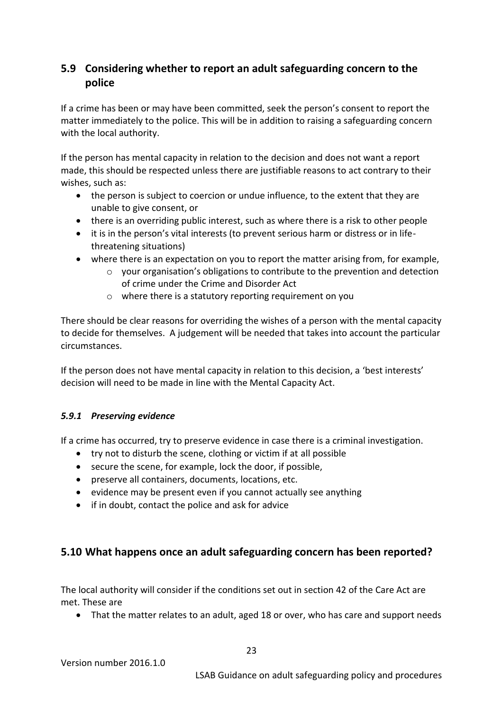# <span id="page-22-0"></span>**5.9 Considering whether to report an adult safeguarding concern to the police**

If a crime has been or may have been committed, seek the person's consent to report the matter immediately to the police. This will be in addition to raising a safeguarding concern with the local authority.

If the person has mental capacity in relation to the decision and does not want a report made, this should be respected unless there are justifiable reasons to act contrary to their wishes, such as:

- the person is subject to coercion or undue influence, to the extent that they are unable to give consent, or
- there is an overriding public interest, such as where there is a risk to other people
- it is in the person's vital interests (to prevent serious harm or distress or in lifethreatening situations)
- where there is an expectation on you to report the matter arising from, for example,
	- o your organisation's obligations to contribute to the prevention and detection of crime under the Crime and Disorder Act
	- o where there is a statutory reporting requirement on you

There should be clear reasons for overriding the wishes of a person with the mental capacity to decide for themselves. A judgement will be needed that takes into account the particular circumstances.

If the person does not have mental capacity in relation to this decision, a 'best interests' decision will need to be made in line with the Mental Capacity Act.

#### <span id="page-22-1"></span>*5.9.1 Preserving evidence*

If a crime has occurred, try to preserve evidence in case there is a criminal investigation.

- try not to disturb the scene, clothing or victim if at all possible
- secure the scene, for example, lock the door, if possible,
- preserve all containers, documents, locations, etc.
- evidence may be present even if you cannot actually see anything
- if in doubt, contact the police and ask for advice

#### <span id="page-22-2"></span>**5.10 What happens once an adult safeguarding concern has been reported?**

The local authority will consider if the conditions set out in section 42 of the Care Act are met. These are

That the matter relates to an adult, aged 18 or over, who has care and support needs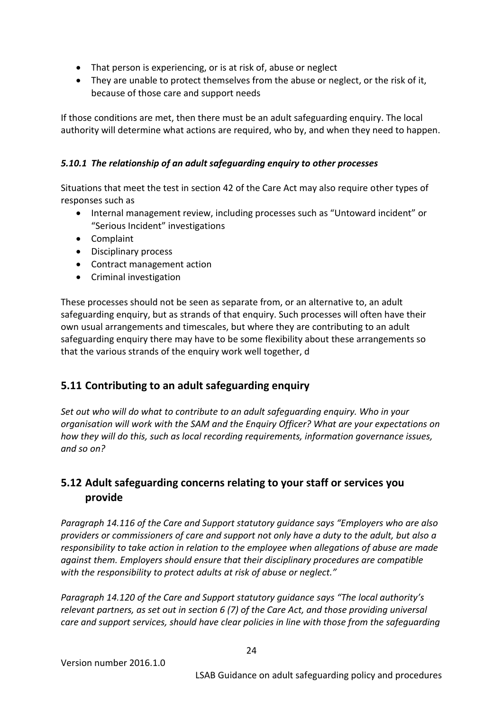- That person is experiencing, or is at risk of, abuse or neglect
- They are unable to protect themselves from the abuse or neglect, or the risk of it, because of those care and support needs

If those conditions are met, then there must be an adult safeguarding enquiry. The local authority will determine what actions are required, who by, and when they need to happen.

#### <span id="page-23-0"></span>*5.10.1 The relationship of an adult safeguarding enquiry to other processes*

Situations that meet the test in section 42 of the Care Act may also require other types of responses such as

- Internal management review, including processes such as "Untoward incident" or "Serious Incident" investigations
- Complaint
- Disciplinary process
- Contract management action
- Criminal investigation

These processes should not be seen as separate from, or an alternative to, an adult safeguarding enquiry, but as strands of that enquiry. Such processes will often have their own usual arrangements and timescales, but where they are contributing to an adult safeguarding enquiry there may have to be some flexibility about these arrangements so that the various strands of the enquiry work well together, d

## <span id="page-23-1"></span>**5.11 Contributing to an adult safeguarding enquiry**

*Set out who will do what to contribute to an adult safeguarding enquiry. Who in your organisation will work with the SAM and the Enquiry Officer? What are your expectations on how they will do this, such as local recording requirements, information governance issues, and so on?*

# <span id="page-23-2"></span>**5.12 Adult safeguarding concerns relating to your staff or services you provide**

*Paragraph 14.116 of the Care and Support statutory guidance says "Employers who are also providers or commissioners of care and support not only have a duty to the adult, but also a responsibility to take action in relation to the employee when allegations of abuse are made against them. Employers should ensure that their disciplinary procedures are compatible with the responsibility to protect adults at risk of abuse or neglect."*

*Paragraph 14.120 of the Care and Support statutory guidance says "The local authority's relevant partners, as set out in section 6 (7) of the Care Act, and those providing universal care and support services, should have clear policies in line with those from the safeguarding*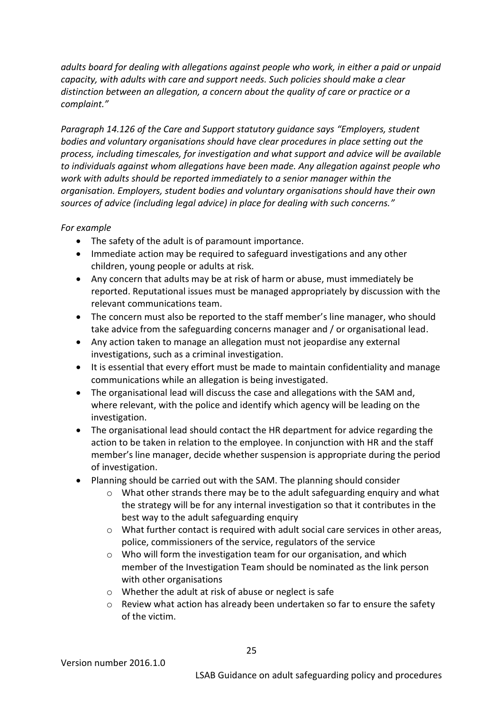*adults board for dealing with allegations against people who work, in either a paid or unpaid capacity, with adults with care and support needs. Such policies should make a clear distinction between an allegation, a concern about the quality of care or practice or a complaint."*

*Paragraph 14.126 of the Care and Support statutory guidance says "Employers, student bodies and voluntary organisations should have clear procedures in place setting out the process, including timescales, for investigation and what support and advice will be available to individuals against whom allegations have been made. Any allegation against people who work with adults should be reported immediately to a senior manager within the organisation. Employers, student bodies and voluntary organisations should have their own sources of advice (including legal advice) in place for dealing with such concerns."*

#### *For example*

- The safety of the adult is of paramount importance.
- Immediate action may be required to safeguard investigations and any other children, young people or adults at risk.
- Any concern that adults may be at risk of harm or abuse, must immediately be reported. Reputational issues must be managed appropriately by discussion with the relevant communications team.
- The concern must also be reported to the staff member's line manager, who should take advice from the safeguarding concerns manager and / or organisational lead.
- Any action taken to manage an allegation must not jeopardise any external investigations, such as a criminal investigation.
- It is essential that every effort must be made to maintain confidentiality and manage communications while an allegation is being investigated.
- The organisational lead will discuss the case and allegations with the SAM and, where relevant, with the police and identify which agency will be leading on the investigation.
- The organisational lead should contact the HR department for advice regarding the action to be taken in relation to the employee. In conjunction with HR and the staff member's line manager, decide whether suspension is appropriate during the period of investigation.
- Planning should be carried out with the SAM. The planning should consider
	- $\circ$  What other strands there may be to the adult safeguarding enquiry and what the strategy will be for any internal investigation so that it contributes in the best way to the adult safeguarding enquiry
	- o What further contact is required with adult social care services in other areas, police, commissioners of the service, regulators of the service
	- o Who will form the investigation team for our organisation, and which member of the Investigation Team should be nominated as the link person with other organisations
	- o Whether the adult at risk of abuse or neglect is safe
	- $\circ$  Review what action has already been undertaken so far to ensure the safety of the victim.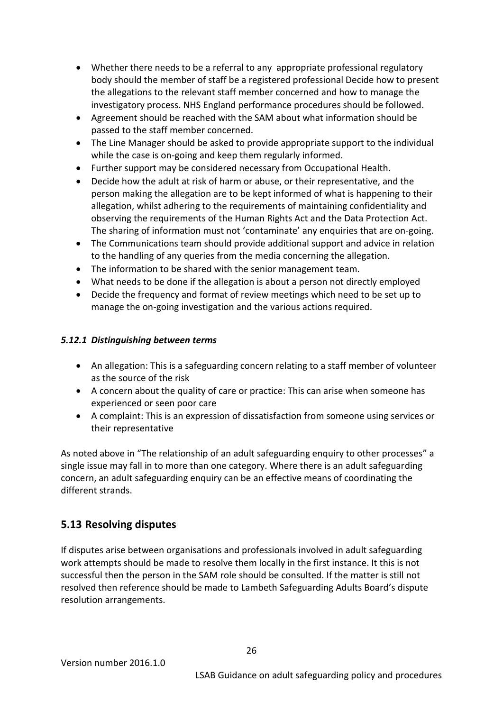- Whether there needs to be a referral to any appropriate professional regulatory body should the member of staff be a registered professional Decide how to present the allegations to the relevant staff member concerned and how to manage the investigatory process. NHS England performance procedures should be followed.
- Agreement should be reached with the SAM about what information should be passed to the staff member concerned.
- The Line Manager should be asked to provide appropriate support to the individual while the case is on-going and keep them regularly informed.
- Further support may be considered necessary from Occupational Health.
- Decide how the adult at risk of harm or abuse, or their representative, and the person making the allegation are to be kept informed of what is happening to their allegation, whilst adhering to the requirements of maintaining confidentiality and observing the requirements of the Human Rights Act and the Data Protection Act. The sharing of information must not 'contaminate' any enquiries that are on-going.
- The Communications team should provide additional support and advice in relation to the handling of any queries from the media concerning the allegation.
- The information to be shared with the senior management team.
- What needs to be done if the allegation is about a person not directly employed
- Decide the frequency and format of review meetings which need to be set up to manage the on-going investigation and the various actions required.

#### <span id="page-25-0"></span>*5.12.1 Distinguishing between terms*

- An allegation: This is a safeguarding concern relating to a staff member of volunteer as the source of the risk
- A concern about the quality of care or practice: This can arise when someone has experienced or seen poor care
- A complaint: This is an expression of dissatisfaction from someone using services or their representative

As noted above in "The relationship of an adult safeguarding enquiry to other processes" a single issue may fall in to more than one category. Where there is an adult safeguarding concern, an adult safeguarding enquiry can be an effective means of coordinating the different strands.

# <span id="page-25-1"></span>**5.13 Resolving disputes**

If disputes arise between organisations and professionals involved in adult safeguarding work attempts should be made to resolve them locally in the first instance. It this is not successful then the person in the SAM role should be consulted. If the matter is still not resolved then reference should be made to Lambeth Safeguarding Adults Board's dispute resolution arrangements.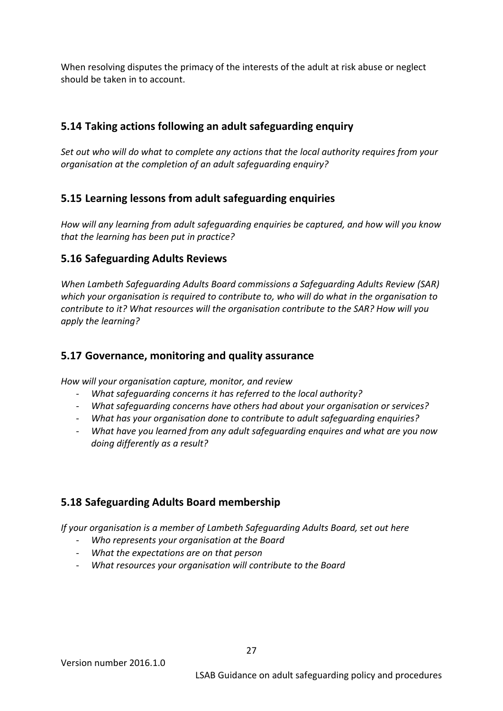When resolving disputes the primacy of the interests of the adult at risk abuse or neglect should be taken in to account.

# <span id="page-26-0"></span>**5.14 Taking actions following an adult safeguarding enquiry**

*Set out who will do what to complete any actions that the local authority requires from your organisation at the completion of an adult safeguarding enquiry?*

# <span id="page-26-1"></span>**5.15 Learning lessons from adult safeguarding enquiries**

*How will any learning from adult safeguarding enquiries be captured, and how will you know that the learning has been put in practice?*

#### <span id="page-26-2"></span>**5.16 Safeguarding Adults Reviews**

*When Lambeth Safeguarding Adults Board commissions a Safeguarding Adults Review (SAR) which your organisation is required to contribute to, who will do what in the organisation to contribute to it? What resources will the organisation contribute to the SAR? How will you apply the learning?*

## <span id="page-26-3"></span>**5.17 Governance, monitoring and quality assurance**

*How will your organisation capture, monitor, and review* 

- *What safeguarding concerns it has referred to the local authority?*
- *What safeguarding concerns have others had about your organisation or services?*
- *What has your organisation done to contribute to adult safeguarding enquiries?*
- *What have you learned from any adult safeguarding enquires and what are you now doing differently as a result?*

## <span id="page-26-4"></span>**5.18 Safeguarding Adults Board membership**

*If your organisation is a member of Lambeth Safeguarding Adults Board, set out here*

- *Who represents your organisation at the Board*
- *What the expectations are on that person*
- *What resources your organisation will contribute to the Board*